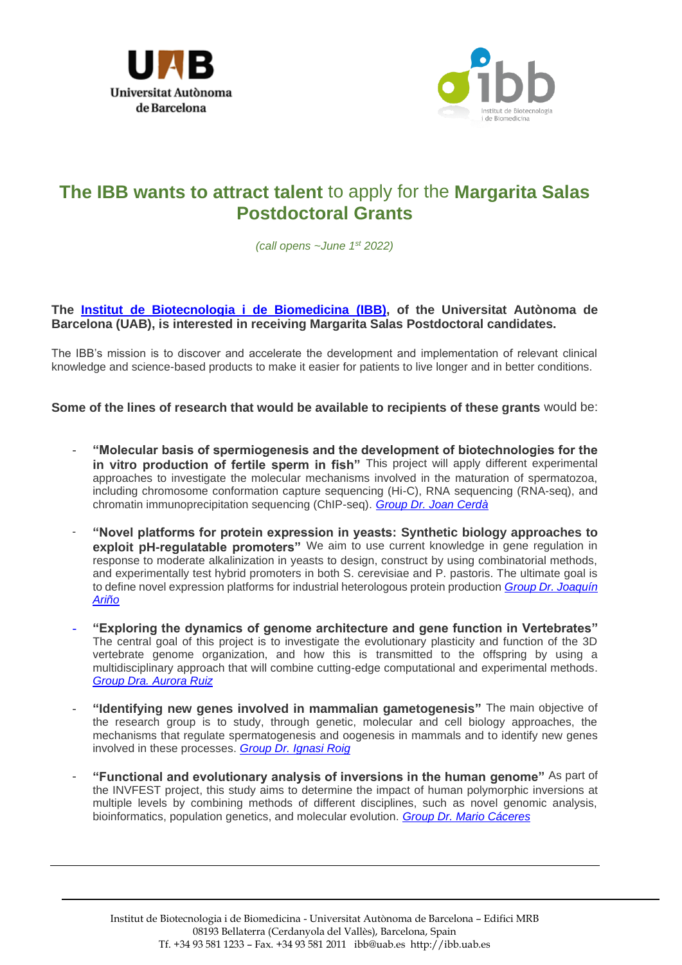



## **The IBB wants to attract talent** to apply for the **Margarita Salas Postdoctoral Grants**

*(call opens ~June 1st 2022)*

## **The Institut [de Biotecnologia i de Biomedicina](https://ibb.uab.cat/) (IBB), of the Universitat Autònoma de Barcelona (UAB), is interested in receiving Margarita Salas Postdoctoral candidates.**

The IBB's mission is to discover and accelerate the development and implementation of relevant clinical knowledge and science-based products to make it easier for patients to live longer and in better conditions.

**Some of the lines of research that would be available to recipients of these grants** would be:

- **"Molecular basis of spermiogenesis and the development of biotechnologies for the**  in vitro production of fertile sperm in fish" This project will apply different experimental approaches to investigate the molecular mechanisms involved in the maturation of spermatozoa, including chromosome conformation capture sequencing (Hi-C), RNA sequencing (RNA-seq), and chromatin immunoprecipitation sequencing (ChIP-seq). *[Group Dr. Joan Cerdà](https://ibb.uab.cat/wp-content/themes/viral/modules/ibb_membres/view_grup.php?CodiGrup=28)*
- "Novel platforms for protein expression in yeasts: Synthetic biology approaches to **exploit pH-regulatable promoters"** We aim to use current knowledge in gene regulation in response to moderate alkalinization in yeasts to design, construct by using combinatorial methods, and experimentally test hybrid promoters in both S. cerevisiae and P. pastoris. The ultimate goal is to define novel expression platforms for industrial heterologous protein production *[Group Dr. Joaquín](https://ibb.uab.cat/wp-content/themes/viral/modules/ibb_membres/view_grup.php?CodiGrup=48)  [Ariño](https://ibb.uab.cat/wp-content/themes/viral/modules/ibb_membres/view_grup.php?CodiGrup=48)*
- **"Exploring the dynamics of genome architecture and gene function in Vertebrates"** The central goal of this project is to investigate the evolutionary plasticity and function of the 3D vertebrate genome organization, and how this is transmitted to the offspring by using a multidisciplinary approach that will combine cutting-edge computational and experimental methods. *[Group Dra. Aurora Ruiz](https://ibb.uab.cat/wp-content/themes/viral/modules/ibb_membres/view_grup.php?CodiGrup=27)*
- **"Identifying new genes involved in mammalian gametogenesis"** The main objective of the research group is to study, through genetic, molecular and cell biology approaches, the mechanisms that regulate spermatogenesis and oogenesis in mammals and to identify new genes involved in these processes. *[Group Dr. Ignasi Roig](https://ibb.uab.cat/wp-content/themes/viral/modules/ibb_membres/view_grup.php?CodiGrup=27)*
- **"Functional and evolutionary analysis of inversions in the human genome"** As part of the INVFEST project, this study aims to determine the impact of human polymorphic inversions at multiple levels by combining methods of different disciplines, such as novel genomic analysis, bioinformatics, population genetics, and molecular evolution. *[Group Dr. Mario Cáceres](https://ibb.uab.cat/wp-content/themes/viral/modules/ibb_membres/view_grup.php?CodiGrup=45)*